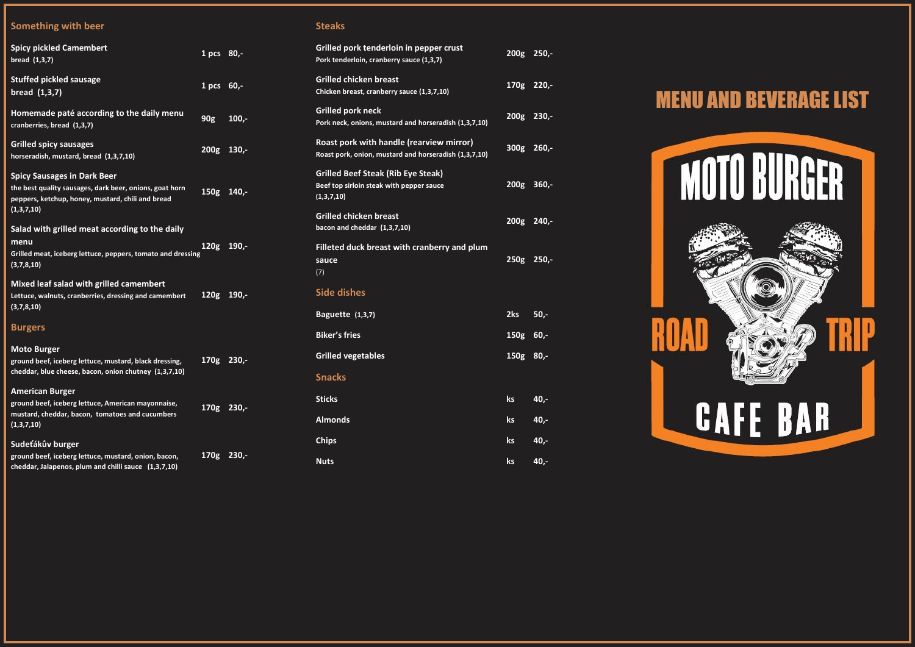# **Something with beer**

| <b>Spicy pickled Camembert</b><br>bread (1,3,7)                                                                                                                  | 1 pcs 80,-       |          |
|------------------------------------------------------------------------------------------------------------------------------------------------------------------|------------------|----------|
| <b>Stuffed pickled sausage</b><br>bread $(1,3,7)$                                                                                                                | 1 <sub>pcs</sub> | $60 -$   |
| Homemade paté according to the daily menu<br>cranberries, bread (1,3,7)                                                                                          | 90 <sub>g</sub>  | $100,-$  |
| <b>Grilled spicy sausages</b><br>horseradish, mustard, bread (1,3,7,10)                                                                                          | 200g             | $130 -$  |
| <b>Spicy Sausages in Dark Beer</b><br>the best quality sausages, dark beer, onions, goat horn<br>peppers, ketchup, honey, mustard, chili and bread<br>(1,3,7,10) | 150 <sub>g</sub> | $140. -$ |
| Salad with grilled meat according to the daily<br>menu<br>Grilled meat, iceberg lettuce, peppers, tomato and dressing<br>(3,7,8,10)                              | 120 <sub>g</sub> | $190 -$  |
| Mixed leaf salad with grilled camembert<br>Lettuce, walnuts, cranberries, dressing and camembert<br>(3,7,8,10)                                                   | 120 <sub>g</sub> | $190 -$  |
| <b>Burgers</b>                                                                                                                                                   |                  |          |
| <b>Moto Burger</b><br>ground beef, iceberg lettuce, mustard, black dressing,<br>cheddar, blue cheese, bacon, onion chutney (1,3,7,10)                            | 170 <sub>g</sub> | $230 -$  |
| <b>American Burger</b><br>ground beef, iceberg lettuce, American mayonnaise,<br>mustard, cheddar, bacon, tomatoes and cucumbers<br>(1,3,7,10)                    | 170 <sub>g</sub> | $230 -$  |
| Sudeťákův burger                                                                                                                                                 |                  |          |

**ground beef, iceberg lettuce, mustard, onion, bacon, cheddar , Jalapenos, plum and chilli sauce (1,3,7,10)**

**170g 230 , -**

# **Steaks**

| Grilled pork tenderloin in pepper crust<br>Pork tenderloin, cranberry sauce (1,3,7)                 | 200 <sub>g</sub> | $250 -$ |
|-----------------------------------------------------------------------------------------------------|------------------|---------|
| <b>Grilled chicken breast</b><br>Chicken breast, cranberry sauce (1,3,7,10)                         | 170 <sub>g</sub> | $220 -$ |
| <b>Grilled pork neck</b><br>Pork neck, onions, mustard and horseradish (1,3,7,10)                   | 200g             | $230 -$ |
| Roast pork with handle (rearview mirror)<br>Roast pork, onion, mustard and horseradish (1,3,7,10)   | 300 <sub>g</sub> | $260 -$ |
| <b>Grilled Beef Steak (Rib Eye Steak)</b><br>Beef top sirloin steak with pepper sauce<br>(1,3,7,10) | 200 <sub>g</sub> | $360 -$ |
| <b>Grilled chicken breast</b><br>bacon and cheddar (1,3,7,10)                                       | 200g             | $240,-$ |
| Filleted duck breast with cranberry and plum<br>sauce<br>(7)                                        | 250g             | $250 -$ |
| <b>Side dishes</b>                                                                                  |                  |         |
| <b>Baguette (1,3,7)</b>                                                                             | 2ks              | $50 -$  |
| <b>Biker's fries</b>                                                                                | 150 <sub>g</sub> | $60 -$  |
| <b>Grilled vegetables</b>                                                                           | 150 <sub>g</sub> | $80 -$  |
| <b>Snacks</b>                                                                                       |                  |         |
| <b>Sticks</b>                                                                                       | ks               | 40,-    |
| <b>Almonds</b>                                                                                      | ks               | 40,-    |
| <b>Chips</b>                                                                                        | ks               | 40,-    |
| <b>Nuts</b>                                                                                         | ks               | 40,-    |



# MENU AND BEVERAGE LIST

# **MOTO BURGER**